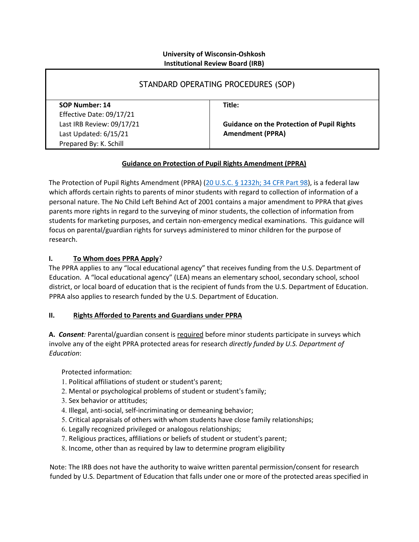### **University of Wisconsin-Oshkosh Institutional Review Board (IRB)**

| STANDARD OPERATING PROCEDURES (SOP) |                                                   |
|-------------------------------------|---------------------------------------------------|
| SOP Number: 14                      | Title:                                            |
| Effective Date: 09/17/21            |                                                   |
| Last IRB Review: 09/17/21           | <b>Guidance on the Protection of Pupil Rights</b> |
| Last Updated: 6/15/21               | <b>Amendment (PPRA)</b>                           |
| Prepared By: K. Schill              |                                                   |

# **Guidance on Protection of Pupil Rights Amendment (PPRA)**

The Protection of Pupil Rights Amendment (PPRA) [\(20 U.S.C. § 1232h; 34 CFR Part 98\)](https://www.law.cornell.edu/uscode/text/20/1232h), is a federal law which affords certain rights to parents of minor students with regard to collection of information of a personal nature. The No Child Left Behind Act of 2001 contains a major amendment to PPRA that gives parents more rights in regard to the surveying of minor students, the collection of information from students for marketing purposes, and certain non-emergency medical examinations. This guidance will focus on parental/guardian rights for surveys administered to minor children for the purpose of research.

# **I. To Whom does PPRA Apply**?

The PPRA applies to any "local educational agency" that receives funding from the U.S. Department of Education. A "local educational agency" (LEA) means an elementary school, secondary school, school district, or local board of education that is the recipient of funds from the U.S. Department of Education. PPRA also applies to research funded by the U.S. Department of Education.

## **II. Rights Afforded to Parents and Guardians under PPRA**

**A.** *Consent:* Parental/guardian consent is required before minor students participate in surveys which involve any of the eight PPRA protected areas for research *directly funded by U.S. Department of Education*:

Protected information:

- 1. Political affiliations of student or student's parent;
- 2. Mental or psychological problems of student or student's family;
- 3. Sex behavior or attitudes;
- 4. Illegal, anti-social, self-incriminating or demeaning behavior;
- 5. Critical appraisals of others with whom students have close family relationships;
- 6. Legally recognized privileged or analogous relationships;
- 7. Religious practices, affiliations or beliefs of student or student's parent;
- 8. Income, other than as required by law to determine program eligibility

Note: The IRB does not have the authority to waive written parental permission/consent for research funded by U.S. Department of Education that falls under one or more of the protected areas specified in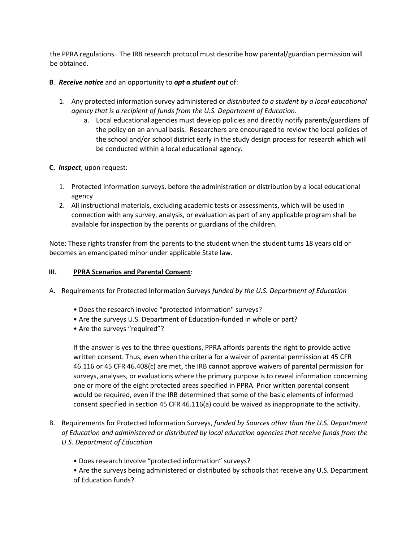the PPRA regulations. The IRB research protocol must describe how parental/guardian permission will be obtained.

### **B***. Receive notice* and an opportunity to *opt a student out* of:

- 1. Any protected information survey administered or *distributed to a student by a local educational agency that is a recipient of funds from the U.S. Department of Education*.
	- a. Local educational agencies must develop policies and directly notify parents/guardians of the policy on an annual basis. Researchers are encouraged to review the local policies of the school and/or school district early in the study design process for research which will be conducted within a local educational agency.
- **C.** *Inspect*, upon request:
	- 1. Protected information surveys, before the administration or distribution by a local educational agency
	- 2. All instructional materials, excluding academic tests or assessments, which will be used in connection with any survey, analysis, or evaluation as part of any applicable program shall be available for inspection by the parents or guardians of the children.

Note: These rights transfer from the parents to the student when the student turns 18 years old or becomes an emancipated minor under applicable State law.

#### **III. PPRA Scenarios and Parental Consent**:

- A. Requirements for Protected Information Surveys *funded by the U.S. Department of Education*
	- Does the research involve "protected information" surveys?
	- Are the surveys U.S. Department of Education-funded in whole or part?
	- Are the surveys "required"?

If the answer is yes to the three questions, PPRA affords parents the right to provide active written consent. Thus, even when the criteria for a waiver of parental permission at 45 CFR 46.116 or 45 CFR 46.408(c) are met, the IRB cannot approve waivers of parental permission for surveys, analyses, or evaluations where the primary purpose is to reveal information concerning one or more of the eight protected areas specified in PPRA. Prior written parental consent would be required, even if the IRB determined that some of the basic elements of informed consent specified in section 45 CFR 46.116(a) could be waived as inappropriate to the activity.

- B. Requirements for Protected Information Surveys, *funded by Sources other than the U.S. Department of Education and administered or distributed by local education agencies that receive funds from the U.S. Department of Education*
	- Does research involve "protected information" surveys?

• Are the surveys being administered or distributed by schools that receive any U.S. Department of Education funds?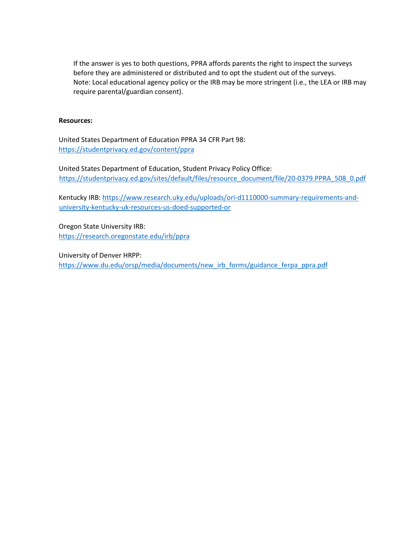If the answer is yes to both questions, PPRA affords parents the right to inspect the surveys before they are administered or distributed and to opt the student out of the surveys. Note: Local educational agency policy or the IRB may be more stringent (i.e., the LEA or IRB may require parental/guardian consent).

#### **Resources:**

United States Department of Education PPRA 34 CFR Part 98: <https://studentprivacy.ed.gov/content/ppra>

United States Department of Education, Student Privacy Policy Office: [https://studentprivacy.ed.gov/sites/default/files/resource\\_document/file/20-0379.PPRA\\_508\\_0.pdf](https://studentprivacy.ed.gov/sites/default/files/resource_document/file/20-0379.PPRA_508_0.pdf)

Kentucky IRB[: https://www.research.uky.edu/uploads/ori-d1110000-summary-requirements-and](https://www.research.uky.edu/uploads/ori-d1110000-summary-requirements-and-university-kentucky-uk-resources-us-doed-supported-or)[university-kentucky-uk-resources-us-doed-supported-or](https://www.research.uky.edu/uploads/ori-d1110000-summary-requirements-and-university-kentucky-uk-resources-us-doed-supported-or)

Oregon State University IRB: <https://research.oregonstate.edu/irb/ppra>

University of Denver HRPP: [https://www.du.edu/orsp/media/documents/new\\_irb\\_forms/guidance\\_ferpa\\_ppra.pdf](https://www.du.edu/orsp/media/documents/new_irb_forms/guidance_ferpa_ppra.pdf)